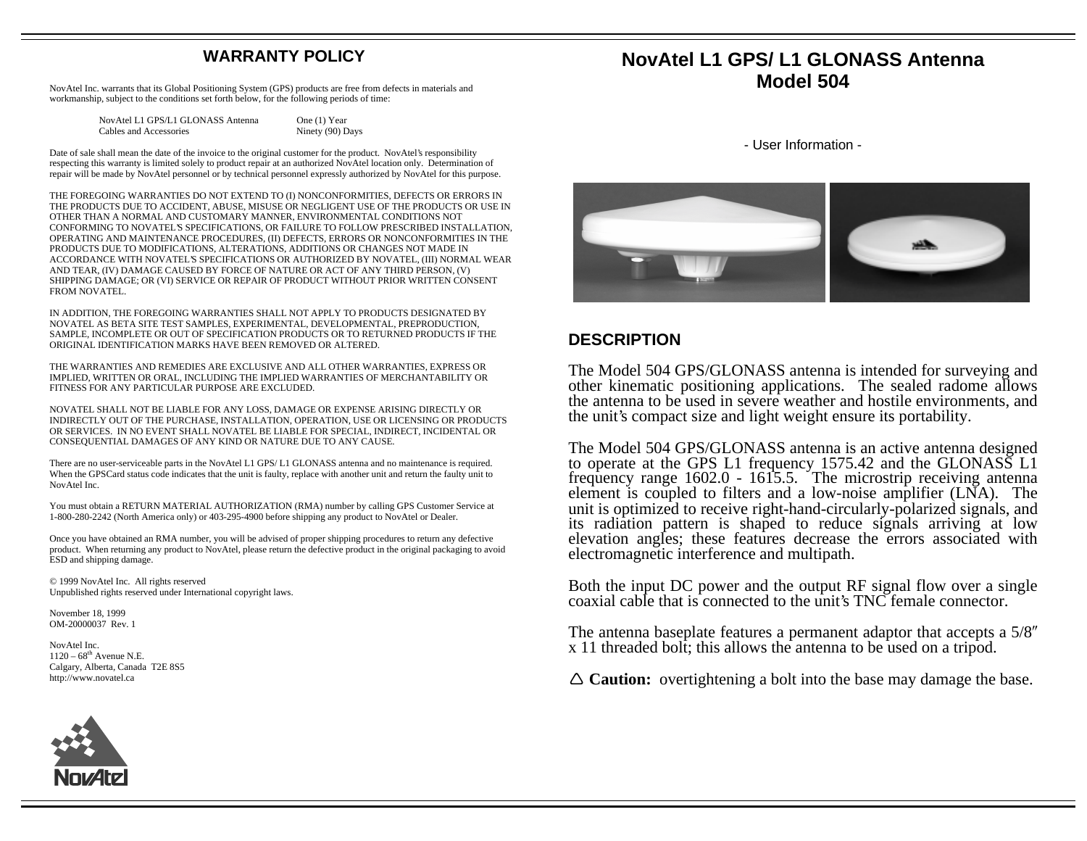## **WARRANTY POLICY**

NovAtel Inc. warrants that its Global Positioning System (GPS) products are free from defects in materials and workmanship, subject to the conditions set forth below, for the following periods of time:

| NovAtel L1 GPS/L1 GLONASS Antenna | One (1) Year     |
|-----------------------------------|------------------|
| Cables and Accessories            | Ninety (90) Days |

Date of sale shall mean the date of the invoice to the original customer for the product. NovAtel's responsibility respecting this warranty is limited solely to product repair at an authorized NovAtel location only. Determination of repair will be made by NovAtel personnel or by technical personnel expressly authorized by NovAtel for this purpose.

THE FOREGOING WARRANTIES DO NOT EXTEND TO (I) NONCONFORMITIES, DEFECTS OR ERRORS IN THE PRODUCTS DUE TO ACCIDENT, ABUSE, MISUSE OR NEGLIGENT USE OF THE PRODUCTS OR USE IN OTHER THAN A NORMAL AND CUSTOMARY MANNER, ENVIRONMENTAL CONDITIONS NOT CONFORMING TO NOVATEL'S SPECIFICATIONS, OR FAILURE TO FOLLOW PRESCRIBED INSTALLATION, OPERATING AND MAINTENANCE PROCEDURES, (II) DEFECTS, ERRORS OR NONCONFORMITIES IN THE PRODUCTS DUE TO MODIFICATIONS, ALTERATIONS, ADDITIONS OR CHANGES NOT MADE IN ACCORDANCE WITH NOVATEL'S SPECIFICATIONS OR AUTHORIZED BY NOVATEL, (III) NORMAL WEAR AND TEAR, (IV) DAMAGE CAUSED BY FORCE OF NATURE OR ACT OF ANY THIRD PERSON, (V) SHIPPING DAMAGE; OR (VI) SERVICE OR REPAIR OF PRODUCT WITHOUT PRIOR WRITTEN CONSENT FROM NOVATEL.

IN ADDITION, THE FOREGOING WARRANTIES SHALL NOT APPLY TO PRODUCTS DESIGNATED BY NOVATEL AS BETA SITE TEST SAMPLES, EXPERIMENTAL, DEVELOPMENTAL, PREPRODUCTION, SAMPLE, INCOMPLETE OR OUT OF SPECIFICATION PRODUCTS OR TO RETURNED PRODUCTS IF THE ORIGINAL IDENTIFICATION MARKS HAVE BEEN REMOVED OR ALTERED.

THE WARRANTIES AND REMEDIES ARE EXCLUSIVE AND ALL OTHER WARRANTIES, EXPRESS OR IMPLIED, WRITTEN OR ORAL, INCLUDING THE IMPLIED WARRANTIES OF MERCHANTABILITY OR FITNESS FOR ANY PARTICULAR PURPOSE ARE EXCLUDED.

NOVATEL SHALL NOT BE LIABLE FOR ANY LOSS, DAMAGE OR EXPENSE ARISING DIRECTLY OR INDIRECTLY OUT OF THE PURCHASE, INSTALLATION, OPERATION, USE OR LICENSING OR PRODUCTS OR SERVICES. IN NO EVENT SHALL NOVATEL BE LIABLE FOR SPECIAL, INDIRECT, INCIDENTAL OR CONSEQUENTIAL DAMAGES OF ANY KIND OR NATURE DUE TO ANY CAUSE.

There are no user-serviceable parts in the NovAtel L1 GPS/ L1 GLONASS antenna and no maintenance is required. When the GPSCard status code indicates that the unit is faulty, replace with another unit and return the faulty unit to NovAtel Inc.

You must obtain a RETURN MATERIAL AUTHORIZATION (RMA) number by calling GPS Customer Service at 1-800-280-2242 (North America only) or 403-295-4900 before shipping any product to NovAtel or Dealer.

Once you have obtained an RMA number, you will be advised of proper shipping procedures to return any defective product. When returning any product to NovAtel, please return the defective product in the original packaging to avoid ESD and shipping damage.

© 1999 NovAtel Inc. All rights reserved Unpublished rights reserved under International copyright laws.

November 18, 1999 OM-20000037 Rev. 1

NovAtel Inc.  $1120 - 68$ <sup>th</sup> Avenue N.E. Calgary, Alberta, Canada T2E 8S5 http://www.novatel.ca

## **NovAtel L1 GPS/ L1 GLONASS Antenna Model 504**

- User Information -



## **DESCRIPTION**

The Model 504 GPS/GLONASS antenna is intended for surveying and other kinematic positioning applications. The sealed radome allows the antenna to be used in severe weather and hostile environments, and the unit's compact size and light weight ensure its portability.

The Model 504 GPS/GLONASS antenna is an active antenna designed to operate at the GPS L1 frequency 1575.42 and the GLONASS L1 frequency range 1602.0 - 1615.5. The microstrip receiving antenna element is coupled to filters and a low-noise amplifier (LNA). The unit is optimized to receive right-hand-circularly-polarized signals, and its radiation pattern is shaped to reduce signals arriving at low elevation angles; these features decrease the errors associated with electromagnetic interference and multipath.

Both the input DC power and the output RF signal flow over a single coaxial cable that is connected to the unit's TNC female connector.

The antenna baseplate features a permanent adaptor that accepts a 5/8" x 11 threaded bolt; this allows the antenna to be used on a tripod.

 $\triangle$  **Caution:** overtightening a bolt into the base may damage the base.